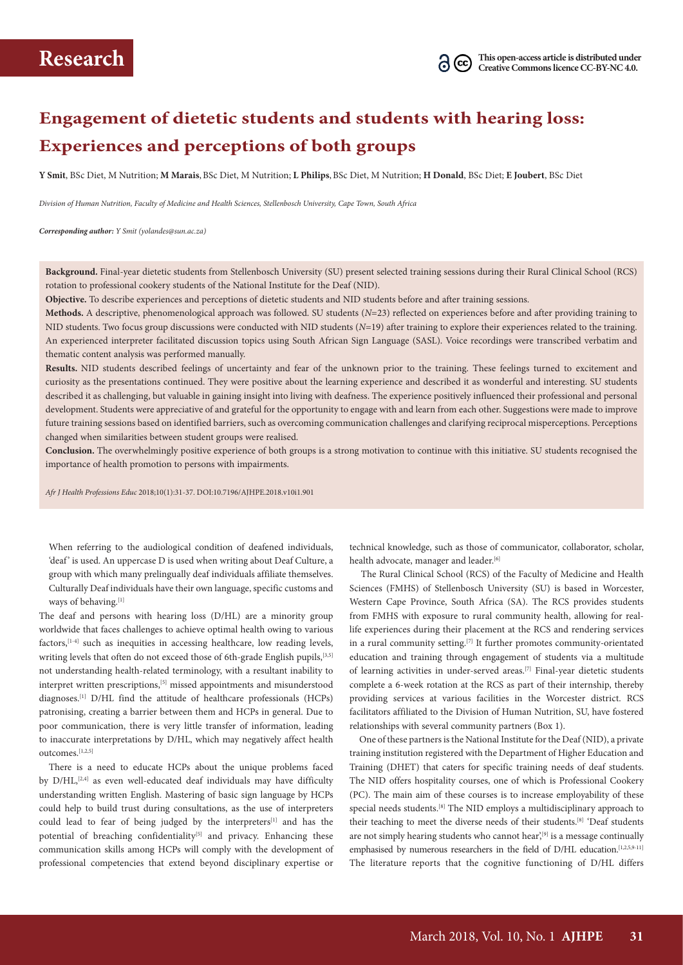# **Engagement of dietetic students and students with hearing loss: Experiences and perceptions of both groups**

**Y Smit**, BSc Diet, M Nutrition; **M Marais**,BSc Diet, M Nutrition; **L Philips**,BSc Diet, M Nutrition; **H Donald**, BSc Diet; **E Joubert**, BSc Diet

*Division of Human Nutrition, Faculty of Medicine and Health Sciences, Stellenbosch University, Cape Town, South Africa* 

*Corresponding author: Y Smit (yolandes@sun.ac.za)*

**Background.** Final-year dietetic students from Stellenbosch University (SU) present selected training sessions during their Rural Clinical School (RCS) rotation to professional cookery students of the National Institute for the Deaf (NID).

**Objective.** To describe experiences and perceptions of dietetic students and NID students before and after training sessions.

**Methods.** A descriptive, phenomenological approach was followed. SU students (*N*=23) reflected on experiences before and after providing training to NID students. Two focus group discussions were conducted with NID students (*N*=19) after training to explore their experiences related to the training. An experienced interpreter facilitated discussion topics using South African Sign Language (SASL). Voice recordings were transcribed verbatim and thematic content analysis was performed manually.

**Results.** NID students described feelings of uncertainty and fear of the unknown prior to the training. These feelings turned to excitement and curiosity as the presentations continued. They were positive about the learning experience and described it as wonderful and interesting. SU students described it as challenging, but valuable in gaining insight into living with deafness. The experience positively influenced their professional and personal development. Students were appreciative of and grateful for the opportunity to engage with and learn from each other. Suggestions were made to improve future training sessions based on identified barriers, such as overcoming communication challenges and clarifying reciprocal misperceptions. Perceptions changed when similarities between student groups were realised.

**Conclusion.** The overwhelmingly positive experience of both groups is a strong motivation to continue with this initiative. SU students recognised the importance of health promotion to persons with impairments.

*Afr J Health Professions Educ* 2018;10(1):31-37. DOI:10.7196/AJHPE.2018.v10i1.901

When referring to the audiological condition of deafened individuals, 'deaf' is used. An uppercase D is used when writing about Deaf Culture, a group with which many prelingually deaf individuals affiliate themselves. Culturally Deaf individuals have their own language, specific customs and ways of behaving.<sup>[1]</sup>

The deaf and persons with hearing loss (D/HL) are a minority group worldwide that faces challenges to achieve optimal health owing to various  $factors$ ,  $[1-4]$  such as inequities in accessing healthcare, low reading levels, writing levels that often do not exceed those of 6th-grade English pupils, [3,5] not understanding health-related terminology, with a resultant inability to interpret written prescriptions,[5] missed appointments and misunderstood diagnoses.[1] D/HL find the attitude of healthcare professionals (HCPs) patronising, creating a barrier between them and HCPs in general. Due to poor communication, there is very little transfer of information, leading to inaccurate interpretations by D/HL, which may negatively affect health outcomes.[1,2,5]

There is a need to educate HCPs about the unique problems faced by  $D/HL$ ,<sup>[2,4]</sup> as even well-educated deaf individuals may have difficulty understanding written English. Mastering of basic sign language by HCPs could help to build trust during consultations, as the use of interpreters could lead to fear of being judged by the interpreters<sup>[1]</sup> and has the potential of breaching confidentiality<sup>[5]</sup> and privacy. Enhancing these communication skills among HCPs will comply with the development of professional competencies that extend beyond disciplinary expertise or

technical knowledge, such as those of communicator, collaborator, scholar, health advocate, manager and leader.<sup>[6]</sup>

The Rural Clinical School (RCS) of the Faculty of Medicine and Health Sciences (FMHS) of Stellenbosch University (SU) is based in Worcester, Western Cape Province, South Africa (SA). The RCS provides students from FMHS with exposure to rural community health, allowing for reallife experiences during their placement at the RCS and rendering services in a rural community setting.[7] It further promotes community-orientated education and training through engagement of students via a multitude of learning activities in under-served areas.[7] Final-year dietetic students complete a 6-week rotation at the RCS as part of their internship, thereby providing services at various facilities in the Worcester district. RCS facilitators affiliated to the Division of Human Nutrition, SU, have fostered relationships with several community partners (Box 1).

One of these partners is the National Institute for the Deaf (NID), a private training institution registered with the Department of Higher Education and Training (DHET) that caters for specific training needs of deaf students. The NID offers hospitality courses, one of which is Professional Cookery (PC). The main aim of these courses is to increase employability of these special needs students.<sup>[8]</sup> The NID employs a multidisciplinary approach to their teaching to meet the diverse needs of their students.[8] 'Deaf students are not simply hearing students who cannot hear',<sup>[9]</sup> is a message continually emphasised by numerous researchers in the field of D/HL education.<sup>[1,2,5,9-11]</sup> The literature reports that the cognitive functioning of D/HL differs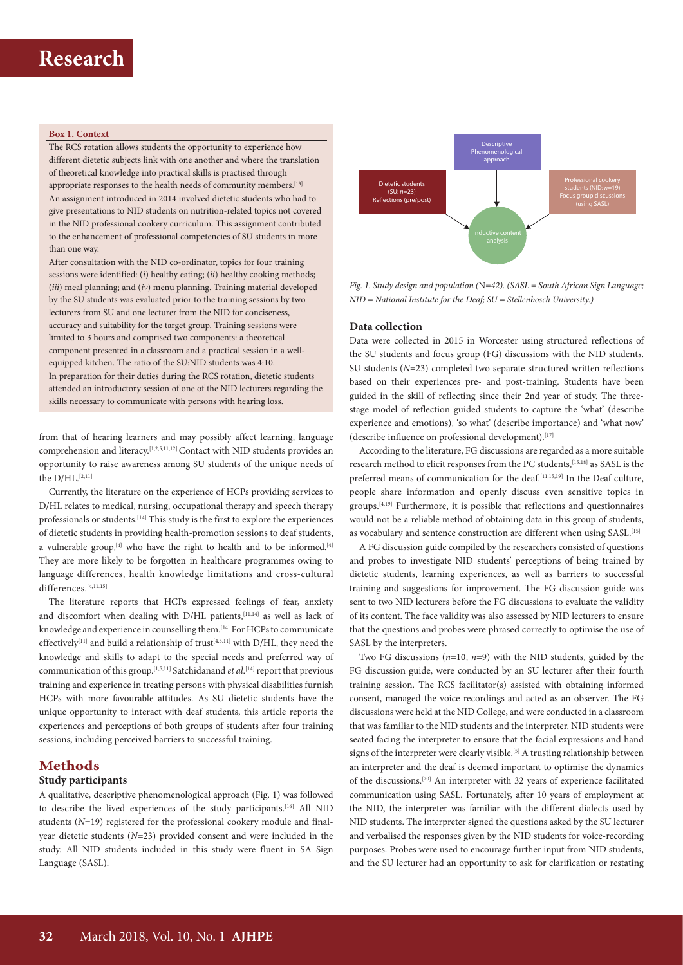#### **Box 1. Context**

The RCS rotation allows students the opportunity to experience how different dietetic subjects link with one another and where the translation of theoretical knowledge into practical skills is practised through appropriate responses to the health needs of community members.[13] An assignment introduced in 2014 involved dietetic students who had to give presentations to NID students on nutrition-related topics not covered in the NID professional cookery curriculum. This assignment contributed to the enhancement of professional competencies of SU students in more than one way.

After consultation with the NID co-ordinator, topics for four training sessions were identified: (*i*) healthy eating; (*ii*) healthy cooking methods; (*iii*) meal planning; and (*iv*) menu planning. Training material developed by the SU students was evaluated prior to the training sessions by two lecturers from SU and one lecturer from the NID for conciseness, accuracy and suitability for the target group. Training sessions were limited to 3 hours and comprised two components: a theoretical component presented in a classroom and a practical session in a wellequipped kitchen. The ratio of the SU:NID students was 4:10. In preparation for their duties during the RCS rotation, dietetic students attended an introductory session of one of the NID lecturers regarding the skills necessary to communicate with persons with hearing loss.

from that of hearing learners and may possibly affect learning, language comprehension and literacy.[1,2,5,11,12] Contact with NID students provides an opportunity to raise awareness among SU students of the unique needs of the  $D/HL$ .<sup>[2,11]</sup>

Currently, the literature on the experience of HCPs providing services to D/HL relates to medical, nursing, occupational therapy and speech therapy professionals or students.[14] This study is the first to explore the experiences of dietetic students in providing health-promotion sessions to deaf students, a vulnerable group,<sup>[4]</sup> who have the right to health and to be informed.<sup>[4]</sup> They are more likely to be forgotten in healthcare programmes owing to language differences, health knowledge limitations and cross-cultural differences.<sup>[4,11.15]</sup>

The literature reports that HCPs expressed feelings of fear, anxiety and discomfort when dealing with D/HL patients, [11,14] as well as lack of knowledge and experience in counselling them.<sup>[14]</sup> For HCPs to communicate effectively<sup>[11]</sup> and build a relationship of trust<sup>[4,5,11]</sup> with D/HL, they need the knowledge and skills to adapt to the special needs and preferred way of communication of this group.[1,5,11] Satchidanand *et al*. [14] report that previous training and experience in treating persons with physical disabilities furnish HCPs with more favourable attitudes. As SU dietetic students have the unique opportunity to interact with deaf students, this article reports the experiences and perceptions of both groups of students after four training sessions, including perceived barriers to successful training.

## **Methods**

## **Study participants**

A qualitative, descriptive phenomenological approach (Fig. 1) was followed to describe the lived experiences of the study participants.<sup>[16]</sup> All NID students (*N*=19) registered for the professional cookery module and finalyear dietetic students (*N*=23) provided consent and were included in the study. All NID students included in this study were fluent in SA Sign Language (SASL).



*Fig. 1. Study design and population (*N*=42). (SASL = South African Sign Language; NID = National Institute for the Deaf; SU = Stellenbosch University.)*

#### **Data collection**

Data were collected in 2015 in Worcester using structured reflections of the SU students and focus group (FG) discussions with the NID students. SU students (*N*=23) completed two separate structured written reflections based on their experiences pre- and post-training. Students have been guided in the skill of reflecting since their 2nd year of study. The threestage model of reflection guided students to capture the 'what' (describe experience and emotions), 'so what' (describe importance) and 'what now' (describe influence on professional development).[17]

According to the literature, FG discussions are regarded as a more suitable research method to elicit responses from the PC students, [15,18] as SASL is the preferred means of communication for the deaf.<sup>[11,15,19]</sup> In the Deaf culture, people share information and openly discuss even sensitive topics in groups.[4,19] Furthermore, it is possible that reflections and questionnaires would not be a reliable method of obtaining data in this group of students, as vocabulary and sentence construction are different when using SASL.<sup>[15]</sup>

A FG discussion guide compiled by the researchers consisted of questions and probes to investigate NID students' perceptions of being trained by dietetic students, learning experiences, as well as barriers to successful training and suggestions for improvement. The FG discussion guide was sent to two NID lecturers before the FG discussions to evaluate the validity of its content. The face validity was also assessed by NID lecturers to ensure that the questions and probes were phrased correctly to optimise the use of SASL by the interpreters.

Two FG discussions (*n*=10, *n*=9) with the NID students, guided by the FG discussion guide, were conducted by an SU lecturer after their fourth training session. The RCS facilitator(s) assisted with obtaining informed consent, managed the voice recordings and acted as an observer. The FG discussions were held at the NID College, and were conducted in a classroom that was familiar to the NID students and the interpreter. NID students were seated facing the interpreter to ensure that the facial expressions and hand signs of the interpreter were clearly visible.<sup>[5]</sup> A trusting relationship between an interpreter and the deaf is deemed important to optimise the dynamics of the discussions.[20] An interpreter with 32 years of experience facilitated communication using SASL. Fortunately, after 10 years of employment at the NID, the interpreter was familiar with the different dialects used by NID students. The interpreter signed the questions asked by the SU lecturer and verbalised the responses given by the NID students for voice-recording purposes. Probes were used to encourage further input from NID students, and the SU lecturer had an opportunity to ask for clarification or restating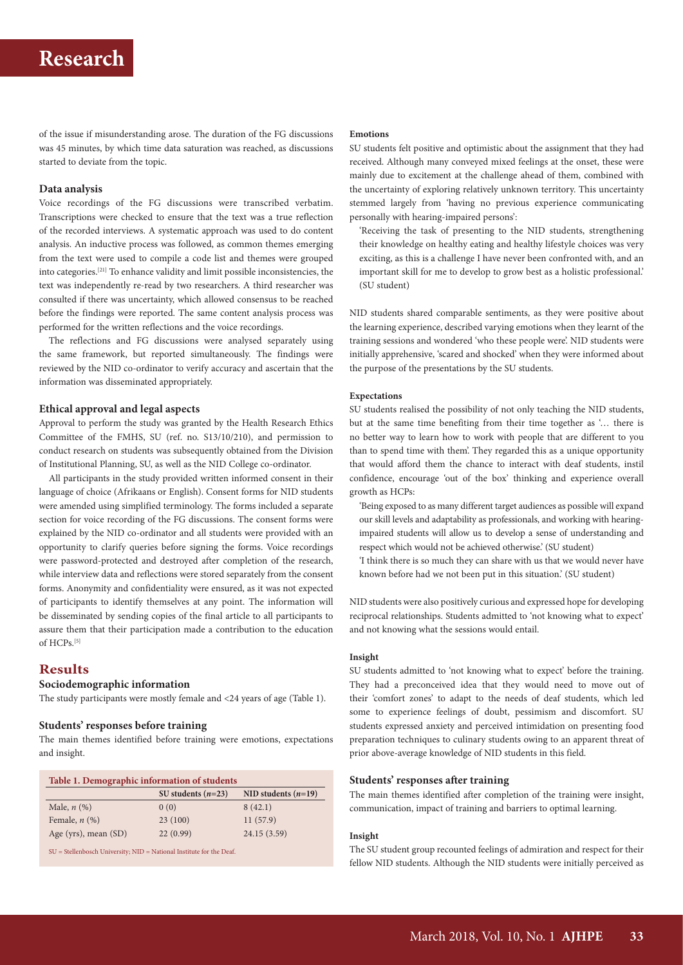of the issue if misunderstanding arose. The duration of the FG discussions was 45 minutes, by which time data saturation was reached, as discussions started to deviate from the topic.

#### **Data analysis**

Voice recordings of the FG discussions were transcribed verbatim. Transcriptions were checked to ensure that the text was a true reflection of the recorded interviews. A systematic approach was used to do content analysis. An inductive process was followed, as common themes emerging from the text were used to compile a code list and themes were grouped into categories.[21] To enhance validity and limit possible inconsistencies, the text was independently re-read by two researchers. A third researcher was consulted if there was uncertainty, which allowed consensus to be reached before the findings were reported. The same content analysis process was performed for the written reflections and the voice recordings.

The reflections and FG discussions were analysed separately using the same framework, but reported simultaneously. The findings were reviewed by the NID co-ordinator to verify accuracy and ascertain that the information was disseminated appropriately.

### **Ethical approval and legal aspects**

Approval to perform the study was granted by the Health Research Ethics Committee of the FMHS, SU (ref. no. S13/10/210), and permission to conduct research on students was subsequently obtained from the Division of Institutional Planning, SU, as well as the NID College co-ordinator.

All participants in the study provided written informed consent in their language of choice (Afrikaans or English). Consent forms for NID students were amended using simplified terminology. The forms included a separate section for voice recording of the FG discussions. The consent forms were explained by the NID co-ordinator and all students were provided with an opportunity to clarify queries before signing the forms. Voice recordings were password-protected and destroyed after completion of the research, while interview data and reflections were stored separately from the consent forms. Anonymity and confidentiality were ensured, as it was not expected of participants to identify themselves at any point. The information will be disseminated by sending copies of the final article to all participants to assure them that their participation made a contribution to the education of HCPs.<sup>[5]</sup>

## **Results**

### **Sociodemographic information**

The study participants were mostly female and <24 years of age (Table 1).

### **Students' responses before training**

The main themes identified before training were emotions, expectations and insight.

| Table 1. Demographic information of students |                      |                       |
|----------------------------------------------|----------------------|-----------------------|
|                                              | SU students $(n=23)$ | NID students $(n=19)$ |
| Male, $n$ $(\%)$                             | 0(0)                 | 8(42.1)               |
| Female, $n$ $(\%)$                           | 23(100)              | 11(57.9)              |
| Age (yrs), mean (SD)                         | 22(0.99)             | 24.15 (3.59)          |

SU = Stellenbosch University; NID = National Institute for the Deaf.

### **Emotions**

SU students felt positive and optimistic about the assignment that they had received. Although many conveyed mixed feelings at the onset, these were mainly due to excitement at the challenge ahead of them, combined with the uncertainty of exploring relatively unknown territory. This uncertainty stemmed largely from 'having no previous experience communicating personally with hearing-impaired persons':

'Receiving the task of presenting to the NID students, strengthening their knowledge on healthy eating and healthy lifestyle choices was very exciting, as this is a challenge I have never been confronted with, and an important skill for me to develop to grow best as a holistic professional.' (SU student)

NID students shared comparable sentiments, as they were positive about the learning experience, described varying emotions when they learnt of the training sessions and wondered 'who these people were'. NID students were initially apprehensive, 'scared and shocked' when they were informed about the purpose of the presentations by the SU students.

### **Expectations**

SU students realised the possibility of not only teaching the NID students, but at the same time benefiting from their time together as '… there is no better way to learn how to work with people that are different to you than to spend time with them'. They regarded this as a unique opportunity that would afford them the chance to interact with deaf students, instil confidence, encourage 'out of the box' thinking and experience overall growth as HCPs:

'Being exposed to as many different target audiences as possible will expand our skill levels and adaptability as professionals, and working with hearingimpaired students will allow us to develop a sense of understanding and respect which would not be achieved otherwise.' (SU student)

'I think there is so much they can share with us that we would never have known before had we not been put in this situation.' (SU student)

NID students were also positively curious and expressed hope for developing reciprocal relationships. Students admitted to 'not knowing what to expect' and not knowing what the sessions would entail.

### **Insight**

SU students admitted to 'not knowing what to expect' before the training. They had a preconceived idea that they would need to move out of their 'comfort zones' to adapt to the needs of deaf students, which led some to experience feelings of doubt, pessimism and discomfort. SU students expressed anxiety and perceived intimidation on presenting food preparation techniques to culinary students owing to an apparent threat of prior above-average knowledge of NID students in this field.

### **Students' responses after training**

The main themes identified after completion of the training were insight, communication, impact of training and barriers to optimal learning.

#### **Insight**

The SU student group recounted feelings of admiration and respect for their fellow NID students. Although the NID students were initially perceived as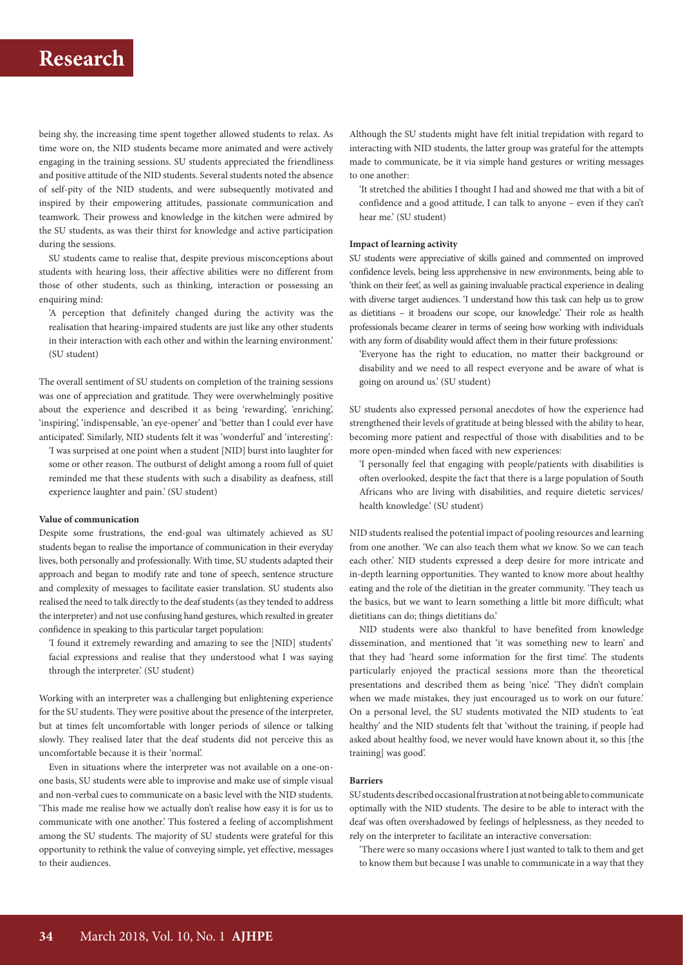being shy, the increasing time spent together allowed students to relax. As time wore on, the NID students became more animated and were actively engaging in the training sessions. SU students appreciated the friendliness and positive attitude of the NID students. Several students noted the absence of self-pity of the NID students, and were subsequently motivated and inspired by their empowering attitudes, passionate communication and teamwork. Their prowess and knowledge in the kitchen were admired by the SU students, as was their thirst for knowledge and active participation during the sessions.

SU students came to realise that, despite previous misconceptions about students with hearing loss, their affective abilities were no different from those of other students, such as thinking, interaction or possessing an enquiring mind:

'A perception that definitely changed during the activity was the realisation that hearing-impaired students are just like any other students in their interaction with each other and within the learning environment.' (SU student)

The overall sentiment of SU students on completion of the training sessions was one of appreciation and gratitude. They were overwhelmingly positive about the experience and described it as being 'rewarding', 'enriching', 'inspiring', 'indispensable, 'an eye-opener' and 'better than I could ever have anticipated'. Similarly, NID students felt it was 'wonderful' and 'interesting':

'I was surprised at one point when a student [NID] burst into laughter for some or other reason. The outburst of delight among a room full of quiet reminded me that these students with such a disability as deafness, still experience laughter and pain.' (SU student)

### **Value of communication**

Despite some frustrations, the end-goal was ultimately achieved as SU students began to realise the importance of communication in their everyday lives, both personally and professionally. With time, SU students adapted their approach and began to modify rate and tone of speech, sentence structure and complexity of messages to facilitate easier translation. SU students also realised the need to talk directly to the deaf students (as they tended to address the interpreter) and not use confusing hand gestures, which resulted in greater confidence in speaking to this particular target population:

'I found it extremely rewarding and amazing to see the [NID] students' facial expressions and realise that they understood what I was saying through the interpreter.' (SU student)

Working with an interpreter was a challenging but enlightening experience for the SU students. They were positive about the presence of the interpreter, but at times felt uncomfortable with longer periods of silence or talking slowly. They realised later that the deaf students did not perceive this as uncomfortable because it is their 'normal'.

Even in situations where the interpreter was not available on a one-onone basis, SU students were able to improvise and make use of simple visual and non-verbal cues to communicate on a basic level with the NID students. 'This made me realise how we actually don't realise how easy it is for us to communicate with one another.' This fostered a feeling of accomplishment among the SU students. The majority of SU students were grateful for this opportunity to rethink the value of conveying simple, yet effective, messages to their audiences.

Although the SU students might have felt initial trepidation with regard to interacting with NID students, the latter group was grateful for the attempts made to communicate, be it via simple hand gestures or writing messages to one another:

'It stretched the abilities I thought I had and showed me that with a bit of confidence and a good attitude, I can talk to anyone – even if they can't hear me.' (SU student)

### **Impact of learning activity**

SU students were appreciative of skills gained and commented on improved confidence levels, being less apprehensive in new environments, being able to 'think on their feet', as well as gaining invaluable practical experience in dealing with diverse target audiences. 'I understand how this task can help us to grow as dietitians – it broadens our scope, our knowledge.' Their role as health professionals became clearer in terms of seeing how working with individuals with any form of disability would affect them in their future professions:

'Everyone has the right to education, no matter their background or disability and we need to all respect everyone and be aware of what is going on around us.' (SU student)

SU students also expressed personal anecdotes of how the experience had strengthened their levels of gratitude at being blessed with the ability to hear, becoming more patient and respectful of those with disabilities and to be more open-minded when faced with new experiences:

'I personally feel that engaging with people/patients with disabilities is often overlooked, despite the fact that there is a large population of South Africans who are living with disabilities, and require dietetic services/ health knowledge.' (SU student)

NID students realised the potential impact of pooling resources and learning from one another. 'We can also teach them what *we* know. So we can teach each other.' NID students expressed a deep desire for more intricate and in-depth learning opportunities. They wanted to know more about healthy eating and the role of the dietitian in the greater community. 'They teach us the basics, but we want to learn something a little bit more difficult; what dietitians can do; things dietitians do.'

NID students were also thankful to have benefited from knowledge dissemination, and mentioned that 'it was something new to learn' and that they had 'heard some information for the first time'. The students particularly enjoyed the practical sessions more than the theoretical presentations and described them as being 'nice'. 'They didn't complain when we made mistakes, they just encouraged us to work on our future.' On a personal level, the SU students motivated the NID students to 'eat healthy' and the NID students felt that 'without the training, if people had asked about healthy food, we never would have known about it, so this [the training] was good'.

#### **Barriers**

SU students described occasional frustration at not being able to communicate optimally with the NID students. The desire to be able to interact with the deaf was often overshadowed by feelings of helplessness, as they needed to rely on the interpreter to facilitate an interactive conversation:

'There were so many occasions where I just wanted to talk to them and get to know them but because I was unable to communicate in a way that they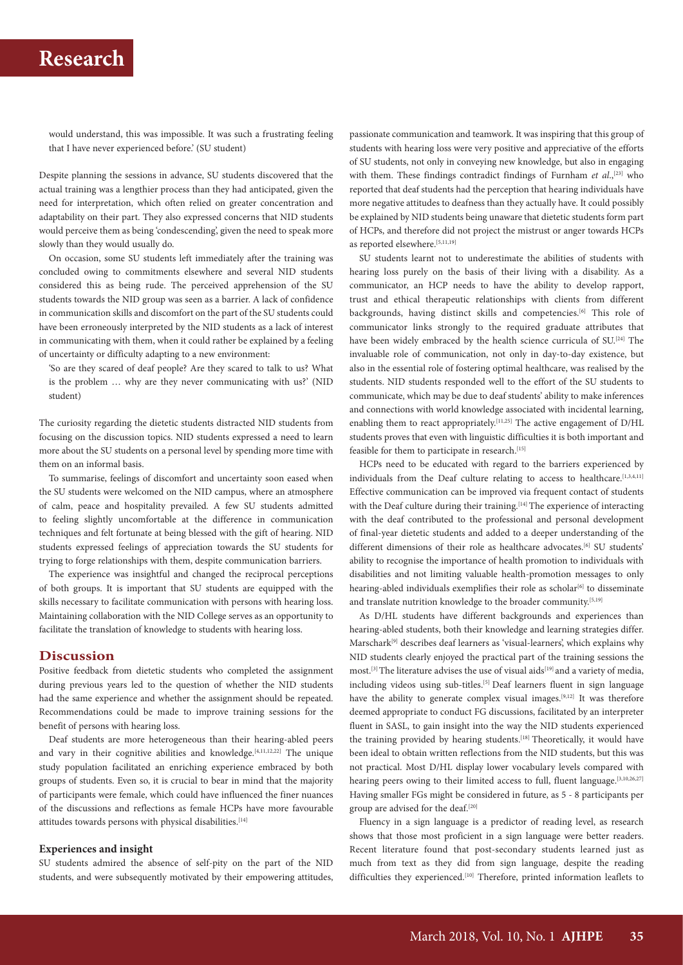would understand, this was impossible. It was such a frustrating feeling that I have never experienced before.' (SU student)

Despite planning the sessions in advance, SU students discovered that the actual training was a lengthier process than they had anticipated, given the need for interpretation, which often relied on greater concentration and adaptability on their part. They also expressed concerns that NID students would perceive them as being 'condescending', given the need to speak more slowly than they would usually do.

On occasion, some SU students left immediately after the training was concluded owing to commitments elsewhere and several NID students considered this as being rude. The perceived apprehension of the SU students towards the NID group was seen as a barrier. A lack of confidence in communication skills and discomfort on the part of the SU students could have been erroneously interpreted by the NID students as a lack of interest in communicating with them, when it could rather be explained by a feeling of uncertainty or difficulty adapting to a new environment:

'So are they scared of deaf people? Are they scared to talk to us? What is the problem … why are they never communicating with us?' (NID student)

The curiosity regarding the dietetic students distracted NID students from focusing on the discussion topics. NID students expressed a need to learn more about the SU students on a personal level by spending more time with them on an informal basis.

To summarise, feelings of discomfort and uncertainty soon eased when the SU students were welcomed on the NID campus, where an atmosphere of calm, peace and hospitality prevailed. A few SU students admitted to feeling slightly uncomfortable at the difference in communication techniques and felt fortunate at being blessed with the gift of hearing. NID students expressed feelings of appreciation towards the SU students for trying to forge relationships with them, despite communication barriers.

The experience was insightful and changed the reciprocal perceptions of both groups. It is important that SU students are equipped with the skills necessary to facilitate communication with persons with hearing loss. Maintaining collaboration with the NID College serves as an opportunity to facilitate the translation of knowledge to students with hearing loss.

### **Discussion**

Positive feedback from dietetic students who completed the assignment during previous years led to the question of whether the NID students had the same experience and whether the assignment should be repeated. Recommendations could be made to improve training sessions for the benefit of persons with hearing loss.

Deaf students are more heterogeneous than their hearing-abled peers and vary in their cognitive abilities and knowledge.<sup>[4,11,12,22]</sup> The unique study population facilitated an enriching experience embraced by both groups of students. Even so, it is crucial to bear in mind that the majority of participants were female, which could have influenced the finer nuances of the discussions and reflections as female HCPs have more favourable attitudes towards persons with physical disabilities.<sup>[14]</sup>

### **Experiences and insight**

SU students admired the absence of self-pity on the part of the NID students, and were subsequently motivated by their empowering attitudes,

passionate communication and teamwork. It was inspiring that this group of students with hearing loss were very positive and appreciative of the efforts of SU students, not only in conveying new knowledge, but also in engaging with them. These findings contradict findings of Furnham *et al.*,<sup>[23]</sup> who reported that deaf students had the perception that hearing individuals have more negative attitudes to deafness than they actually have. It could possibly be explained by NID students being unaware that dietetic students form part of HCPs, and therefore did not project the mistrust or anger towards HCPs as reported elsewhere.[5,11,19]

SU students learnt not to underestimate the abilities of students with hearing loss purely on the basis of their living with a disability. As a communicator, an HCP needs to have the ability to develop rapport, trust and ethical therapeutic relationships with clients from different backgrounds, having distinct skills and competencies.<sup>[6]</sup> This role of communicator links strongly to the required graduate attributes that have been widely embraced by the health science curricula of SU.<sup>[24]</sup> The invaluable role of communication, not only in day-to-day existence, but also in the essential role of fostering optimal healthcare, was realised by the students. NID students responded well to the effort of the SU students to communicate, which may be due to deaf students' ability to make inferences and connections with world knowledge associated with incidental learning, enabling them to react appropriately.<sup>[11,25]</sup> The active engagement of D/HL students proves that even with linguistic difficulties it is both important and feasible for them to participate in research.<sup>[15]</sup>

HCPs need to be educated with regard to the barriers experienced by individuals from the Deaf culture relating to access to healthcare.<sup>[1,3,4,11]</sup> Effective communication can be improved via frequent contact of students with the Deaf culture during their training.<sup>[14]</sup> The experience of interacting with the deaf contributed to the professional and personal development of final-year dietetic students and added to a deeper understanding of the different dimensions of their role as healthcare advocates.<sup>[6]</sup> SU students' ability to recognise the importance of health promotion to individuals with disabilities and not limiting valuable health-promotion messages to only hearing-abled individuals exemplifies their role as scholar<sup>[6]</sup> to disseminate and translate nutrition knowledge to the broader community.<sup>[5,19]</sup>

As D/HL students have different backgrounds and experiences than hearing-abled students, both their knowledge and learning strategies differ. Marschark<sup>[9]</sup> describes deaf learners as 'visual-learners', which explains why NID students clearly enjoyed the practical part of the training sessions the most.<sup>[3]</sup> The literature advises the use of visual aids<sup>[19]</sup> and a variety of media, including videos using sub-titles.[5] Deaf learners fluent in sign language have the ability to generate complex visual images.<sup>[9,12]</sup> It was therefore deemed appropriate to conduct FG discussions, facilitated by an interpreter fluent in SASL, to gain insight into the way the NID students experienced the training provided by hearing students.<sup>[18]</sup> Theoretically, it would have been ideal to obtain written reflections from the NID students, but this was not practical. Most D/HL display lower vocabulary levels compared with hearing peers owing to their limited access to full, fluent language.<sup>[3,10,26,27]</sup> Having smaller FGs might be considered in future, as 5 - 8 participants per group are advised for the deaf.<sup>[20]</sup>

Fluency in a sign language is a predictor of reading level, as research shows that those most proficient in a sign language were better readers. Recent literature found that post-secondary students learned just as much from text as they did from sign language, despite the reading difficulties they experienced.<sup>[10]</sup> Therefore, printed information leaflets to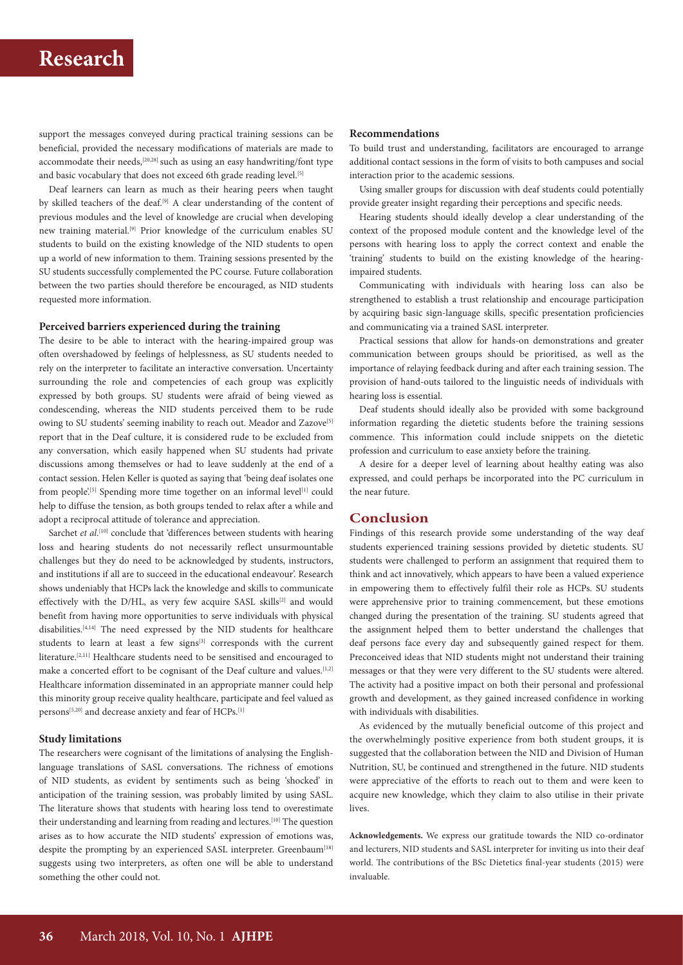support the messages conveyed during practical training sessions can be beneficial, provided the necessary modifications of materials are made to accommodate their needs,<sup>[20,28]</sup> such as using an easy handwriting/font type and basic vocabulary that does not exceed 6th grade reading level.<sup>[5]</sup>

Deaf learners can learn as much as their hearing peers when taught by skilled teachers of the deaf.<sup>[9]</sup> A clear understanding of the content of previous modules and the level of knowledge are crucial when developing new training material.<sup>[9]</sup> Prior knowledge of the curriculum enables SU students to build on the existing knowledge of the NID students to open up a world of new information to them. Training sessions presented by the SU students successfully complemented the PC course. Future collaboration between the two parties should therefore be encouraged, as NID students requested more information.

## **Perceived barriers experienced during the training**

The desire to be able to interact with the hearing-impaired group was often overshadowed by feelings of helplessness, as SU students needed to rely on the interpreter to facilitate an interactive conversation. Uncertainty surrounding the role and competencies of each group was explicitly expressed by both groups. SU students were afraid of being viewed as condescending, whereas the NID students perceived them to be rude owing to SU students' seeming inability to reach out. Meador and Zazove<sup>[5]</sup> report that in the Deaf culture, it is considered rude to be excluded from any conversation, which easily happened when SU students had private discussions among themselves or had to leave suddenly at the end of a contact session. Helen Keller is quoted as saying that 'being deaf isolates one from people'.<sup>[5]</sup> Spending more time together on an informal level<sup>[1]</sup> could help to diffuse the tension, as both groups tended to relax after a while and adopt a reciprocal attitude of tolerance and appreciation.

Sarchet *et al.*<sup>[10]</sup> conclude that 'differences between students with hearing loss and hearing students do not necessarily reflect unsurmountable challenges but they do need to be acknowledged by students, instructors, and institutions if all are to succeed in the educational endeavour'. Research shows undeniably that HCPs lack the knowledge and skills to communicate effectively with the D/HL, as very few acquire SASL skills<sup>[2]</sup> and would benefit from having more opportunities to serve individuals with physical disabilities.[4,14] The need expressed by the NID students for healthcare students to learn at least a few signs<sup>[3]</sup> corresponds with the current literature.<sup>[2,11]</sup> Healthcare students need to be sensitised and encouraged to make a concerted effort to be cognisant of the Deaf culture and values.<sup>[1,2]</sup> Healthcare information disseminated in an appropriate manner could help this minority group receive quality healthcare, participate and feel valued as persons<sup>[5,20]</sup> and decrease anxiety and fear of HCPs.<sup>[1]</sup>

#### **Study limitations**

The researchers were cognisant of the limitations of analysing the Englishlanguage translations of SASL conversations. The richness of emotions of NID students, as evident by sentiments such as being 'shocked' in anticipation of the training session, was probably limited by using SASL. The literature shows that students with hearing loss tend to overestimate their understanding and learning from reading and lectures.<sup>[10]</sup> The question arises as to how accurate the NID students' expression of emotions was, despite the prompting by an experienced SASL interpreter. Greenbaum<sup>[18]</sup> suggests using two interpreters, as often one will be able to understand something the other could not.

### **Recommendations**

To build trust and understanding, facilitators are encouraged to arrange additional contact sessions in the form of visits to both campuses and social interaction prior to the academic sessions.

Using smaller groups for discussion with deaf students could potentially provide greater insight regarding their perceptions and specific needs.

Hearing students should ideally develop a clear understanding of the context of the proposed module content and the knowledge level of the persons with hearing loss to apply the correct context and enable the 'training' students to build on the existing knowledge of the hearingimpaired students.

Communicating with individuals with hearing loss can also be strengthened to establish a trust relationship and encourage participation by acquiring basic sign-language skills, specific presentation proficiencies and communicating via a trained SASL interpreter.

Practical sessions that allow for hands-on demonstrations and greater communication between groups should be prioritised, as well as the importance of relaying feedback during and after each training session. The provision of hand-outs tailored to the linguistic needs of individuals with hearing loss is essential.

Deaf students should ideally also be provided with some background information regarding the dietetic students before the training sessions commence. This information could include snippets on the dietetic profession and curriculum to ease anxiety before the training.

A desire for a deeper level of learning about healthy eating was also expressed, and could perhaps be incorporated into the PC curriculum in the near future.

## **Conclusion**

Findings of this research provide some understanding of the way deaf students experienced training sessions provided by dietetic students. SU students were challenged to perform an assignment that required them to think and act innovatively, which appears to have been a valued experience in empowering them to effectively fulfil their role as HCPs. SU students were apprehensive prior to training commencement, but these emotions changed during the presentation of the training. SU students agreed that the assignment helped them to better understand the challenges that deaf persons face every day and subsequently gained respect for them. Preconceived ideas that NID students might not understand their training messages or that they were very different to the SU students were altered. The activity had a positive impact on both their personal and professional growth and development, as they gained increased confidence in working with individuals with disabilities.

As evidenced by the mutually beneficial outcome of this project and the overwhelmingly positive experience from both student groups, it is suggested that the collaboration between the NID and Division of Human Nutrition, SU, be continued and strengthened in the future. NID students were appreciative of the efforts to reach out to them and were keen to acquire new knowledge, which they claim to also utilise in their private lives.

**Acknowledgements.** We express our gratitude towards the NID co-ordinator and lecturers, NID students and SASL interpreter for inviting us into their deaf world. The contributions of the BSc Dietetics final-year students (2015) were invaluable.